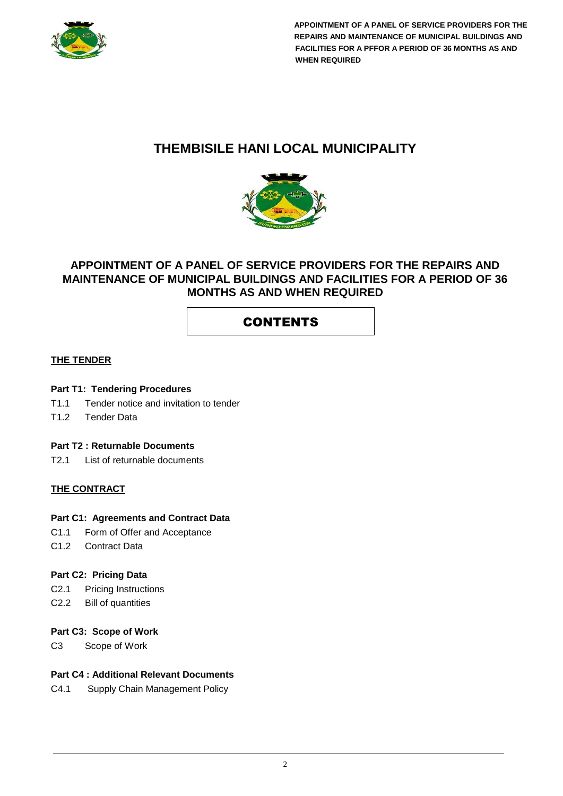

# **THEMBISILE HANI LOCAL MUNICIPALITY**



## **APPOINTMENT OF A PANEL OF SERVICE PROVIDERS FOR THE REPAIRS AND MAINTENANCE OF MUNICIPAL BUILDINGS AND FACILITIES FOR A PERIOD OF 36 MONTHS AS AND WHEN REQUIRED**

# CONTENTS

#### **THE TENDER**

#### **Part T1: Tendering Procedures**

- T1.1 Tender notice and invitation to tender
- T1.2 Tender Data

## **Part T2 : Returnable Documents**

T2.1 List of returnable documents

## **THE CONTRACT**

#### **Part C1: Agreements and Contract Data**

- C1.1 Form of Offer and Acceptance
- C1.2 Contract Data

#### **Part C2: Pricing Data**

- C2.1 Pricing Instructions
- C2.2 Bill of quantities

#### **Part C3: Scope of Work**

C3 Scope of Work

## **Part C4 : Additional Relevant Documents**

C4.1 Supply Chain Management Policy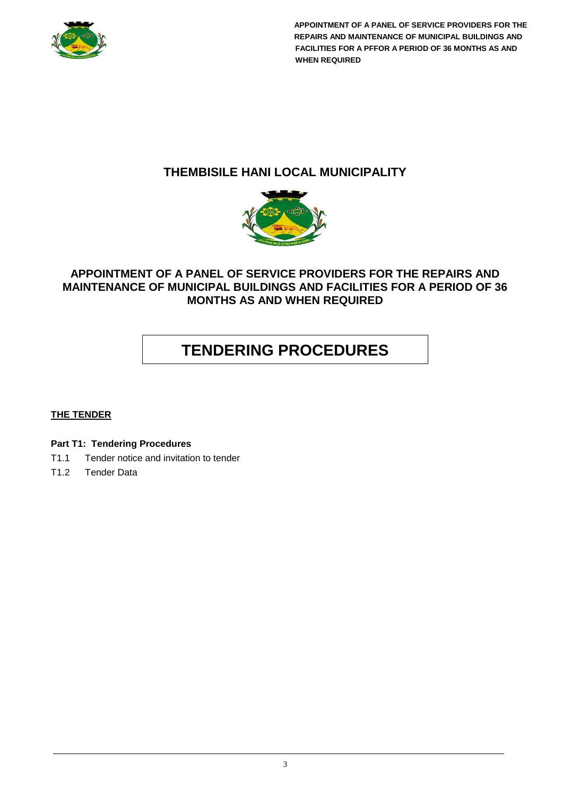

# **THEMBISILE HANI LOCAL MUNICIPALITY**



# **APPOINTMENT OF A PANEL OF SERVICE PROVIDERS FOR THE REPAIRS AND MAINTENANCE OF MUNICIPAL BUILDINGS AND FACILITIES FOR A PERIOD OF 36 MONTHS AS AND WHEN REQUIRED**

# **TENDERING PROCEDURES**

## **THE TENDER**

**Part T1: Tendering Procedures**

- T1.1 Tender notice and invitation to tender
- T1.2 Tender Data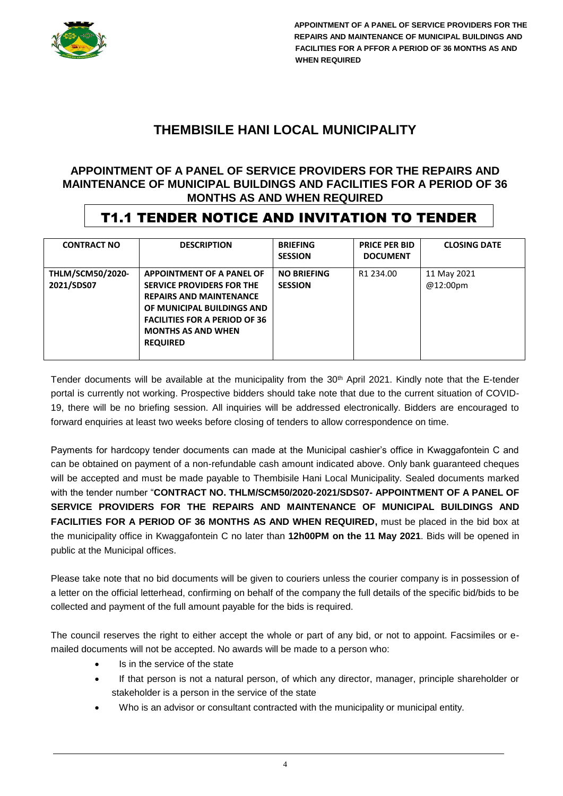

# **THEMBISILE HANI LOCAL MUNICIPALITY**

## **APPOINTMENT OF A PANEL OF SERVICE PROVIDERS FOR THE REPAIRS AND MAINTENANCE OF MUNICIPAL BUILDINGS AND FACILITIES FOR A PERIOD OF 36 MONTHS AS AND WHEN REQUIRED**

# T1.1 TENDER NOTICE AND INVITATION TO TENDER

| <b>CONTRACT NO</b>                    | <b>DESCRIPTION</b>                                                                                                                                                                                             | <b>BRIEFING</b><br><b>SESSION</b>    | <b>PRICE PER BID</b><br><b>DOCUMENT</b> | <b>CLOSING DATE</b>     |
|---------------------------------------|----------------------------------------------------------------------------------------------------------------------------------------------------------------------------------------------------------------|--------------------------------------|-----------------------------------------|-------------------------|
| <b>THLM/SCM50/2020-</b><br>2021/SDS07 | APPOINTMENT OF A PANEL OF<br>SERVICE PROVIDERS FOR THE<br><b>REPAIRS AND MAINTENANCE</b><br>OF MUNICIPAL BUILDINGS AND<br><b>FACILITIES FOR A PERIOD OF 36</b><br><b>MONTHS AS AND WHEN</b><br><b>REQUIRED</b> | <b>NO BRIEFING</b><br><b>SESSION</b> | R1 234.00                               | 11 May 2021<br>@12:00pm |

Tender documents will be available at the municipality from the 30<sup>th</sup> April 2021. Kindly note that the E-tender portal is currently not working. Prospective bidders should take note that due to the current situation of COVID-19, there will be no briefing session. All inquiries will be addressed electronically. Bidders are encouraged to forward enquiries at least two weeks before closing of tenders to allow correspondence on time.

Payments for hardcopy tender documents can made at the Municipal cashier's office in Kwaggafontein C and can be obtained on payment of a non-refundable cash amount indicated above. Only bank guaranteed cheques will be accepted and must be made payable to Thembisile Hani Local Municipality. Sealed documents marked with the tender number "**CONTRACT NO. THLM/SCM50/2020-2021/SDS07- APPOINTMENT OF A PANEL OF SERVICE PROVIDERS FOR THE REPAIRS AND MAINTENANCE OF MUNICIPAL BUILDINGS AND FACILITIES FOR A PERIOD OF 36 MONTHS AS AND WHEN REQUIRED,** must be placed in the bid box at the municipality office in Kwaggafontein C no later than **12h00PM on the 11 May 2021**. Bids will be opened in public at the Municipal offices.

Please take note that no bid documents will be given to couriers unless the courier company is in possession of a letter on the official letterhead, confirming on behalf of the company the full details of the specific bid/bids to be collected and payment of the full amount payable for the bids is required.

The council reserves the right to either accept the whole or part of any bid, or not to appoint. Facsimiles or emailed documents will not be accepted. No awards will be made to a person who:

- Is in the service of the state
- If that person is not a natural person, of which any director, manager, principle shareholder or stakeholder is a person in the service of the state
- Who is an advisor or consultant contracted with the municipality or municipal entity.